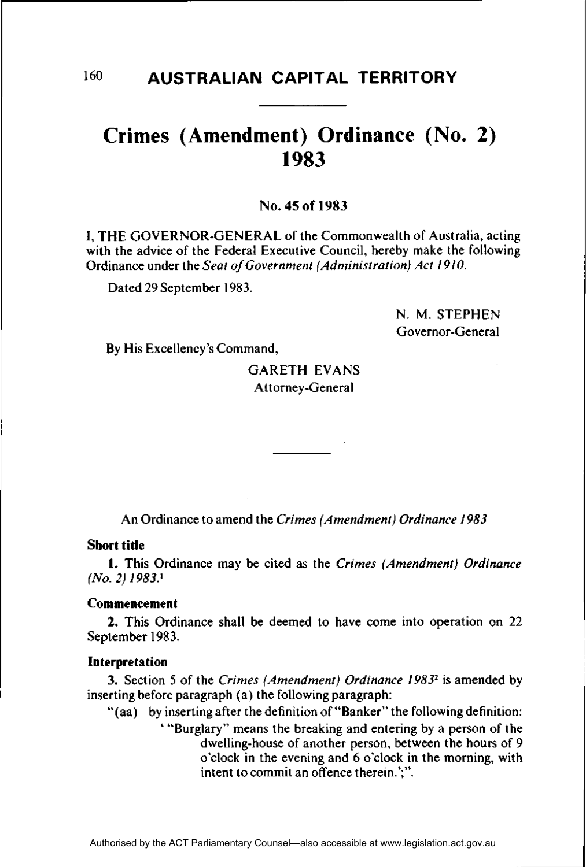# **Crimes (Amendment) Ordinance (No. 2) 1983**

**No. 45 of 1983** 

I, THE GOVERNOR-GENERAL of the Commonwealth of Australia, acting with the advice of the Federal Executive Council, hereby make the following Ordinance under the *Seat of Government (Administration) Act 1910.* 

Dated 29 September 1983.

N. M. STEPHEN Governor-General

By His Excellency's Command,

# GARETH EVANS Attorney-General

An Ordinance to amend the *Crimes (Amendment) Ordinance 1983* 

## **Short title**

**1.** This Ordinance may be cited as the *Crimes (Amendment) Ordinance (No. 2) 1983}* 

#### Commencement

2. This Ordinance shall be deemed to have come into operation on 22 September 1983.

#### **Interpretation**

3. Section 5 of the *Crimes (Amendment) Ordinance 1983<sup>2</sup>* is amended by inserting before paragraph (a) the following paragraph:

"(aa) by inserting after the definition of "Banker" the following definition:

"Burglary" means the breaking and entering by a person of the dwelling-house of another person, between the hours of 9 o'clock in the evening and 6 o'clock in the morning, with intent to commit an offence therein.';".